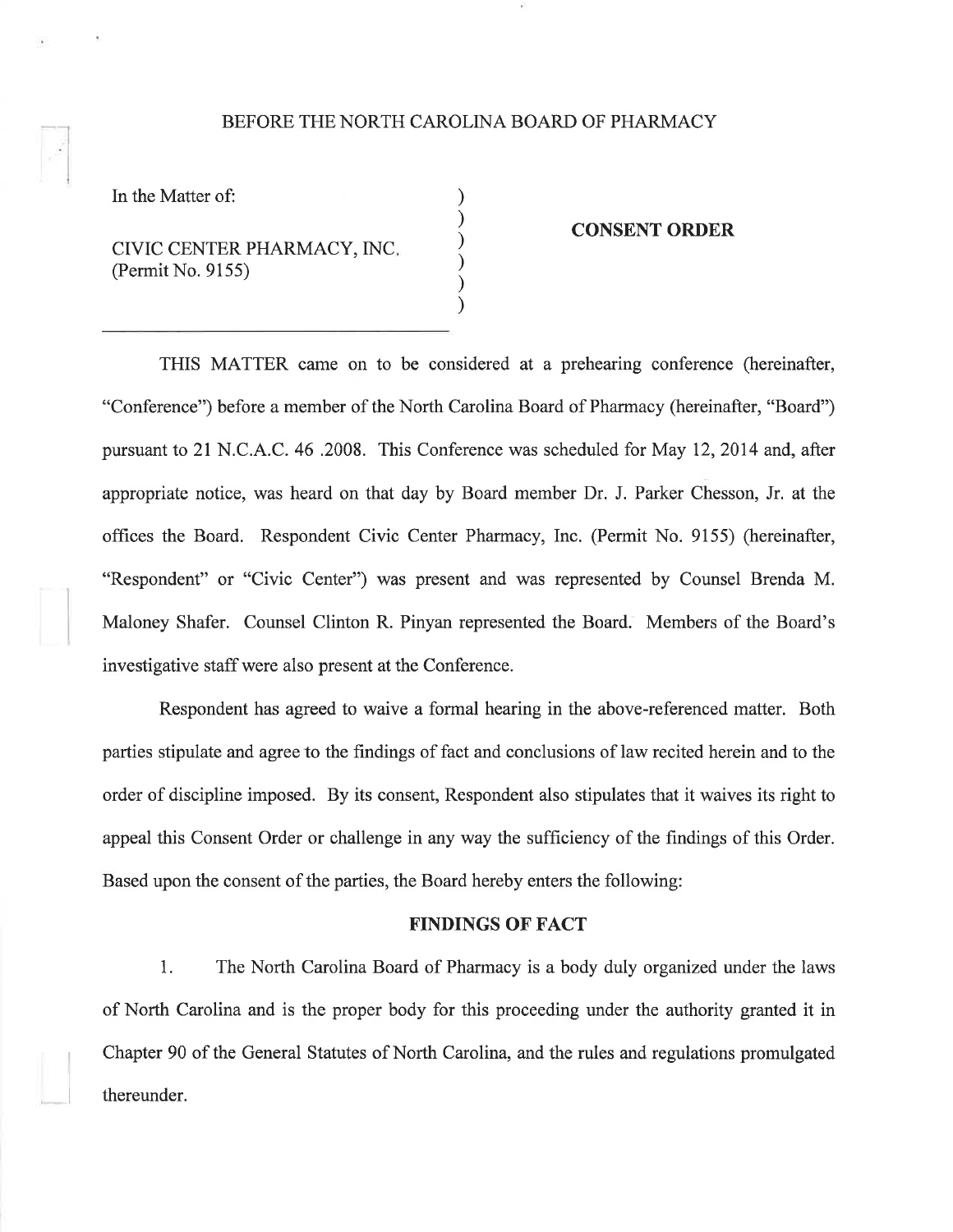### BEFORE THE NORTH CAROLINA BOARD OF PHARMACY

) ) ) ) ) )

In the Matter of:

CIVIC CENTER PHARMACY, INC. (Permit No. 9155)

#### CONSENT ORDER

THIS MATTER came on to be considered at a prehearing conference (hereinafter, "Conference") before a member of the North Carolina Board of Pharmacy (hereinafter, "Board") pursuant to 21 N.C.A.C. 46 .2008. This Conference was scheduled for May 12, 2014 and, after appropriate notice, was heard on that day by Board member Dr. J. Parker Chesson, Jr. at the offices the Board. Respondent Civic Center Pharmacy, Inc. (Permit No. 9155) (hereinafter, "Respondent" or "Civic Center") was present and was represented by Counsel Brenda M. Maloney Shafer. Counsel Clinton R. Pinyan represented the Board. Members of the Board's investigative staff were also present at the Conference.

Respondent has agreed to waive a formal hearing in the above-referenced matter. Both parties stipulate and agree to the findings of fact and conclusions of law recited herein and to the order of discipline imposed. By its consent, Respondent also stipulates that it waives its right to appeal this Consent Order or challenge in any way the sufficiency of the findings of this Order. Based upon the consent of the parties, the Board hereby enters the following:

## FINDINGS OF FACT

1. The North Carolina Board of Pharmacy is a body duly organized under the laws of North Carolina and is the proper body for this proceeding under the authority granted it in Chapter 90 of the General Statutes of North Carolina, and the rules and regulations promulgated thereunder.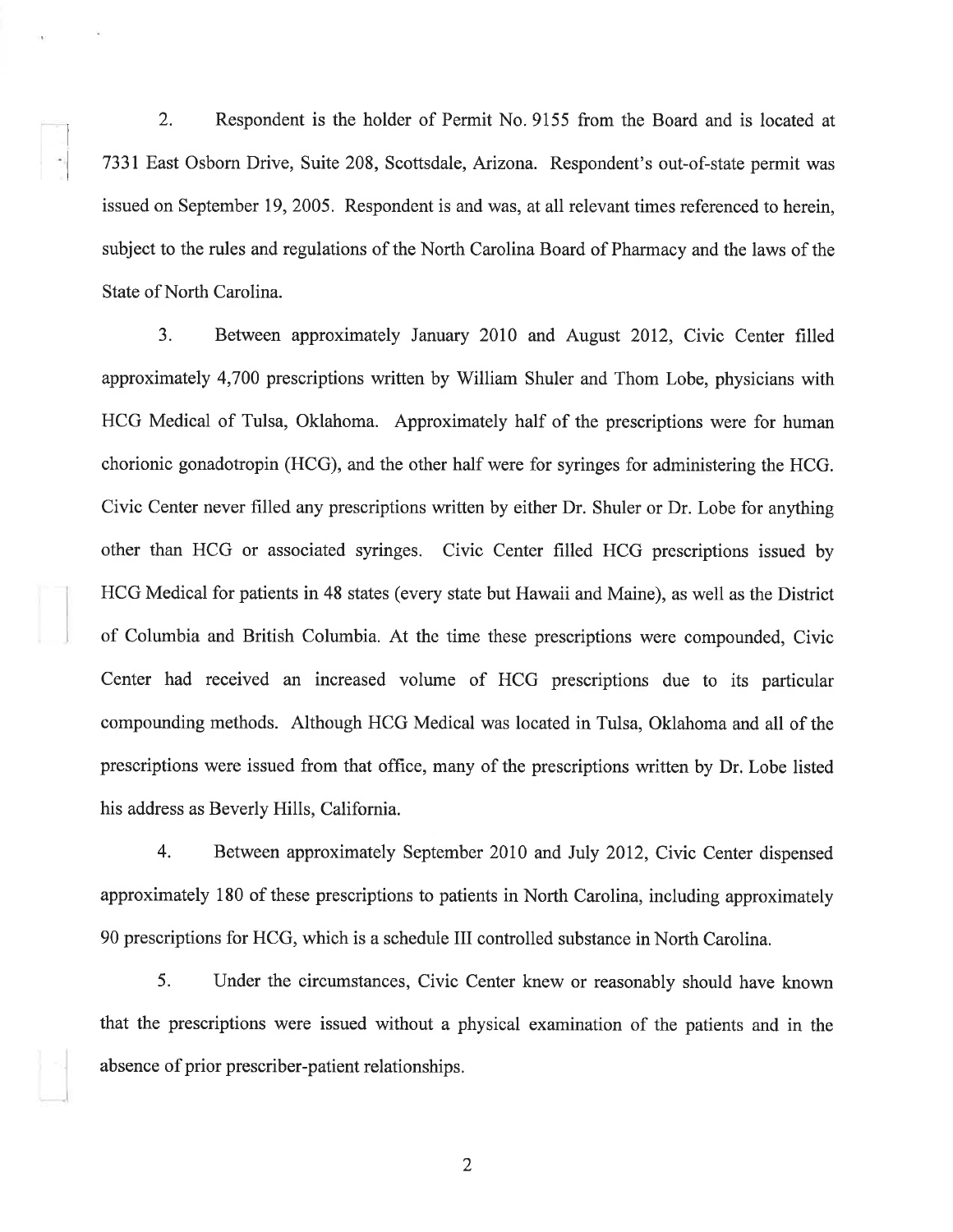2. Respondent is the holder of Permit No. 9155 from the Board and is located at 7331 East Osborn Drive, Suite 208, Scottsdale, Arizona. Respondent's out-of-state permit was issued on September 19, 2005. Respondent is and was, at all relevant times referenced to herein, subject to the rules and regulations of the North Carolina Board of Pharmacy and the laws of the State of North Carolina.

3. Between approximately January 2010 and August 2012, Civic Center filled approximately 4,700 prescriptions written by William Shuler and Thom Lobe, physicians with HCG Medical of Tulsa, Oklahoma. Approximately half of the prescriptions were for human chorionic gonadotropin (HCG), and the other half were for syringes for administering the HCG. Civic Center never frlled any prescriptions written by either Dr. Shuler or Dr. Lobe for anything other than HCG or associated syringes. Civic Center filled HCG prescriptions issued by HCG Medical for patients in 48 states (every state but Hawaii and Maine), as well as the District of Columbia and British Columbia. At the time these prescriptions were compounded, Civic Center had received an increased volume of HCG prescriptions due to its particular compounding methods. Although HCG Medical was located in Tulsa, Oklahoma and all of the prescriptions were issued from that ofhce, many of the prescriptions written by Dr. Lobe listed his address as Beverly Hills, California.

4. Between approximately September 2010 and July 2012, Civic Center dispensed approximately 180 of these prescriptions to patients in North Carolina, including approximately 90 prescriptions for HCG, which is a schedule III controlled substance in North Carolina.

5. Under the circumstances, Civic Center knew or reasonably should have known that the prescriptions were issued without a physical examination of the patients and in the absence of prior prescriber-patient relationships.

2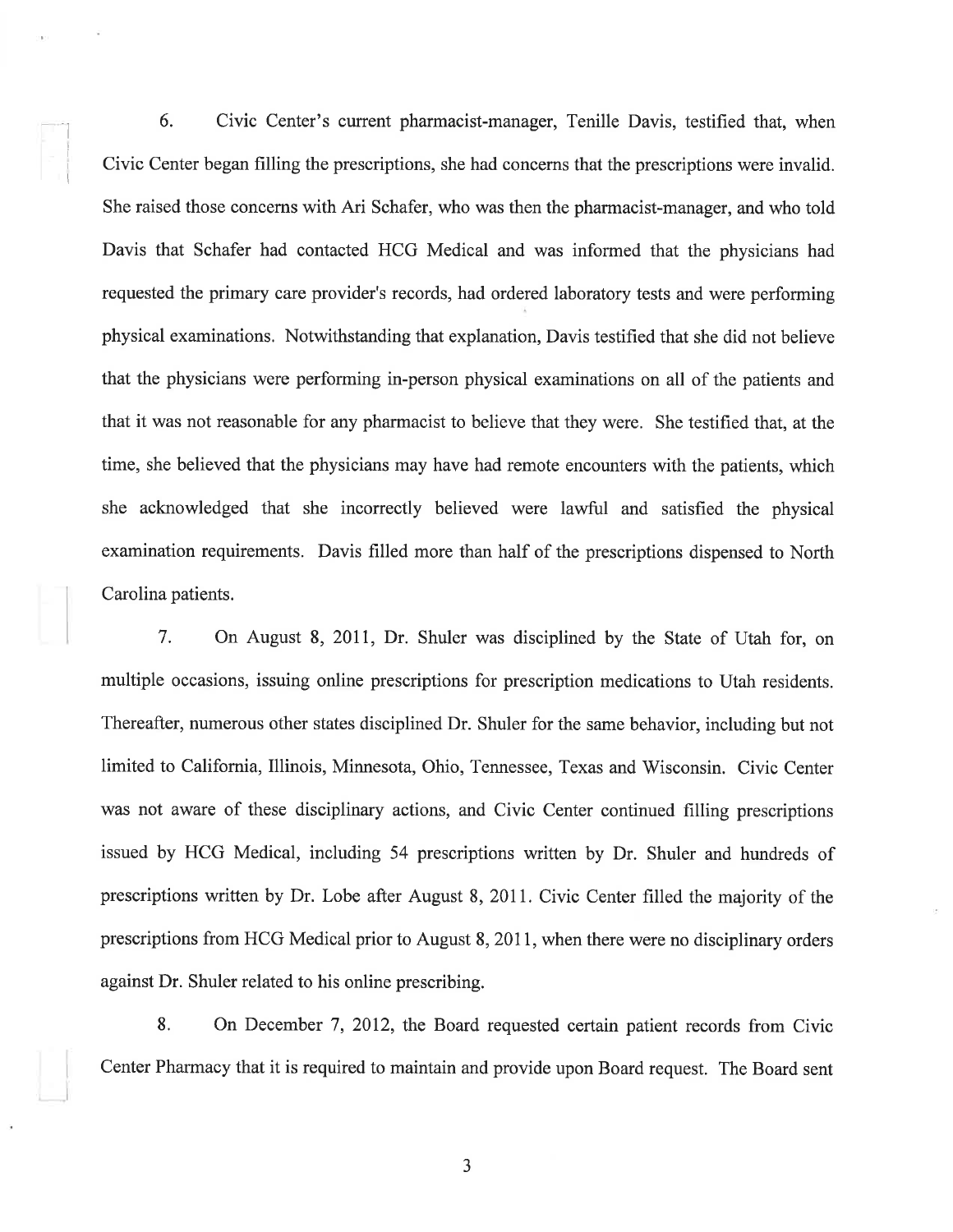6. Civic Center's current pharmacist-manager, Tenille Davis, testified that, when Civic Center began filling the prescriptions, she had concerns that the prescriptions were invalid. She raised those concerns with Ari Schafer, who was then the pharmacist-manager, and who told Davis that Schafer had contacted HCG Medical and was informed that the physicians had requested the primary care provider's records, had ordered laboratory tests and were performing physical examinations. Notwithstanding that explanation, Davis testified that she did not believe that the physicians were performing in-person physical examinations on all of the patients and that it was not reasonable for any pharmacist to believe that they were. She testified that, at the time, she believed that the physicians may have had remote encounters with the patients, which she acknowledged that she incorrectly believed were lawful and satisfied the physical examination requirements. Davis filled more than half of the prescriptions dispensed to North Carolina patients.

I

I

7. On August 8,2011, Dr. Shuler was disciplined by the State of Utah for, on multiple occasions, issuing online prescriptions for prescription medications to Utah residents. Thereafter, numerous other states disciplined Dr. Shuler for the same behavior, including but not limited to California, Illinois, Minnesota, Ohio, Tennessee, Texas and Wisconsin. Civic Center was not aware of these disciplinary actions, and Civic Center continued filling prescriptions issued by HCG Medical, including 54 prescriptions written by Dr. Shuler and hundreds of prescriptions written by Dr. Lobe after August 8,2011. Civic Center filled the majority of the prescriptions from HCG Medical prior to August 8,2011, when there were no disciplinary orders against Dr. Shuler related to his online prescribing.

8. On December 7,2012, the Board requested certain patient records from Civic Center Pharmacy that it is required to maintain and provide upon Board request. The Board sent

a J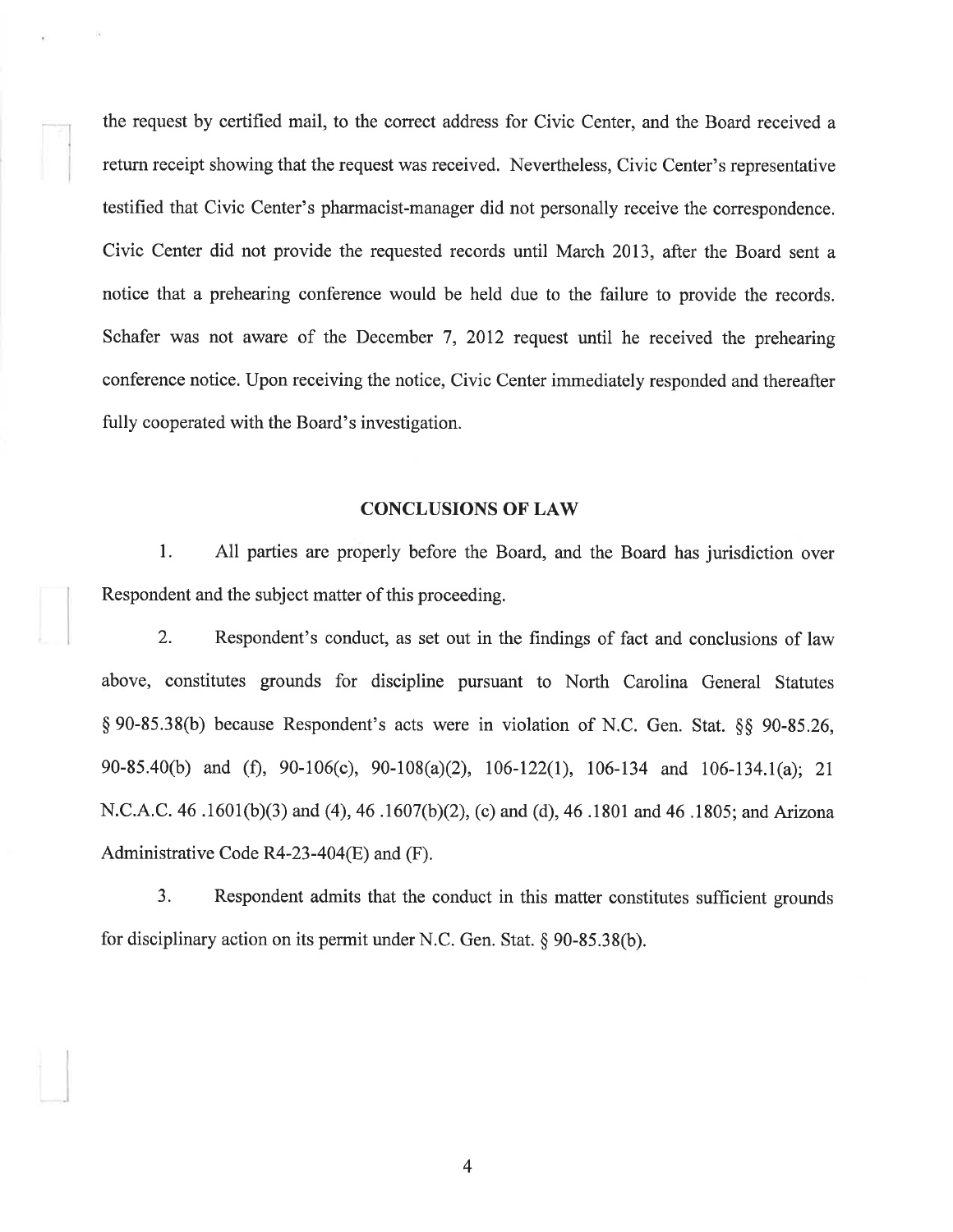the request by certified mail, to the correct address for Civic Center, and the Board received a return receipt showing that the request was received. Nevertheless, Civic Center's representative testified that Civic Center's pharmacist-manager did not personally receive the correspondence. Civic Center did not provide the requested records until March 2013, after the Board sent <sup>a</sup> notice that a prehearing conference would be held due to the failure to provide the records. Schafer was not aware of the December 7, 2012 request until he received the prehearing conference notice. Upon receiving the notice, Civic Center immediately responded and thereafter fully cooperated with the Board's investigation.

#### CONCLUSIONS OF LAW

1. All parties are properly before the Board, and the Board has jurisdiction over Respondent and the subject matter of this proceeding.

2. Respondent's conduct, as set out in the findings of fact and conclusions of law above, constitutes grounds for discipline pursuant to North Carolina General Statutes \$ 90-85.38(b) because Respondent's acts were in violation of N.C. Gen. Stat. \$g 90-85.26, 90-85.40(b) and (Ð, 90-106(c), 90-108(a)(2), 106-122(l), 106-134 and 106-134.1(a); 2l N.C.A.C. 46 .1601(b)(3) and (4),46 .1607(b)(2), (c) and (d),46.1801 and 46 ,1805; and Arizona Administrative Code R4-23-404(E) and (F).

3. Respondent admits that the conduct in this matter constitutes sufficient grounds for disciplinary action on its permit under N.C. Gen. Stat.  $\S 90-85.38(b)$ .

4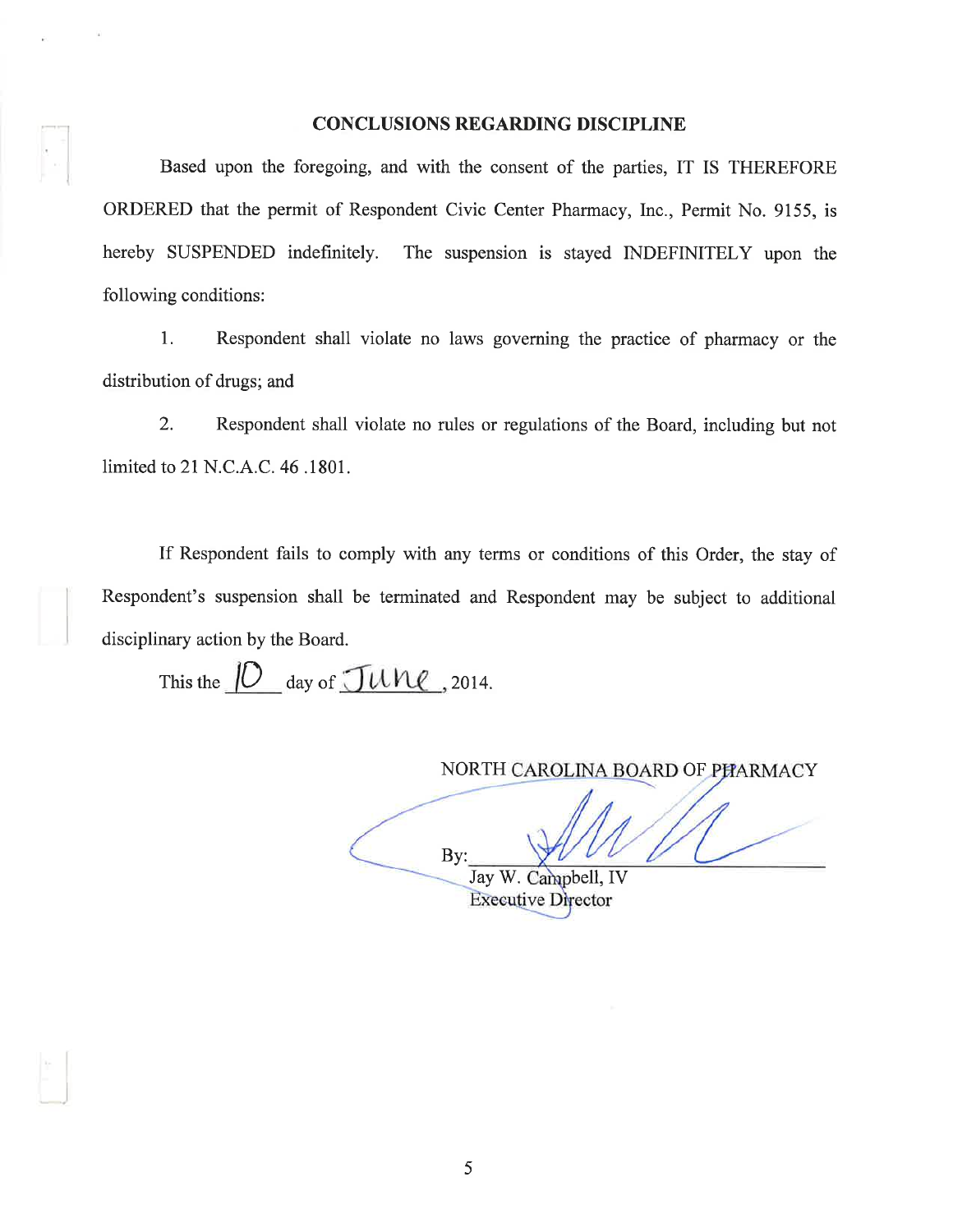#### CONCLUSIONS REGARDING DISCIPLINE

Based upon the foregoing, and with the consent of the parties, IT IS THEREFORE ORDERED that the permit of Respondent Civic Center Pharmacy, Inc., Permit No. 9155, is hereby SUSPENDED indefinitely. The suspension is stayed INDEFINITELY upon the following conditions:

1. Respondent shall violate no laws governing the practice of pharmacy or the distribution of drugs; and

2. Respondent shall violate no rules or regulations of the Board, including but not limited to 21 N.C.A.C. 46. 1801.

If Respondent fails to comply with any terms or conditions of this Order, the stay of Respondent's suspension shall be terminated and Respondent may be subject to additional disciplinary action by the Board.

This the  $\underline{\hspace{1cm}}\left[\underline{\hspace{1cm}}\right]$  day of  $\underline{\hspace{1cm}}\left[\overline{\hspace{1cm}}\right]\hspace{1cm}u\overline{\hspace{1cm}}\hspace{1cm}}\right]$ , 2014.

NORTH CAROLINA BOARD OF PHARMACY By: Jay W. Campbell, IV

**Executive Director**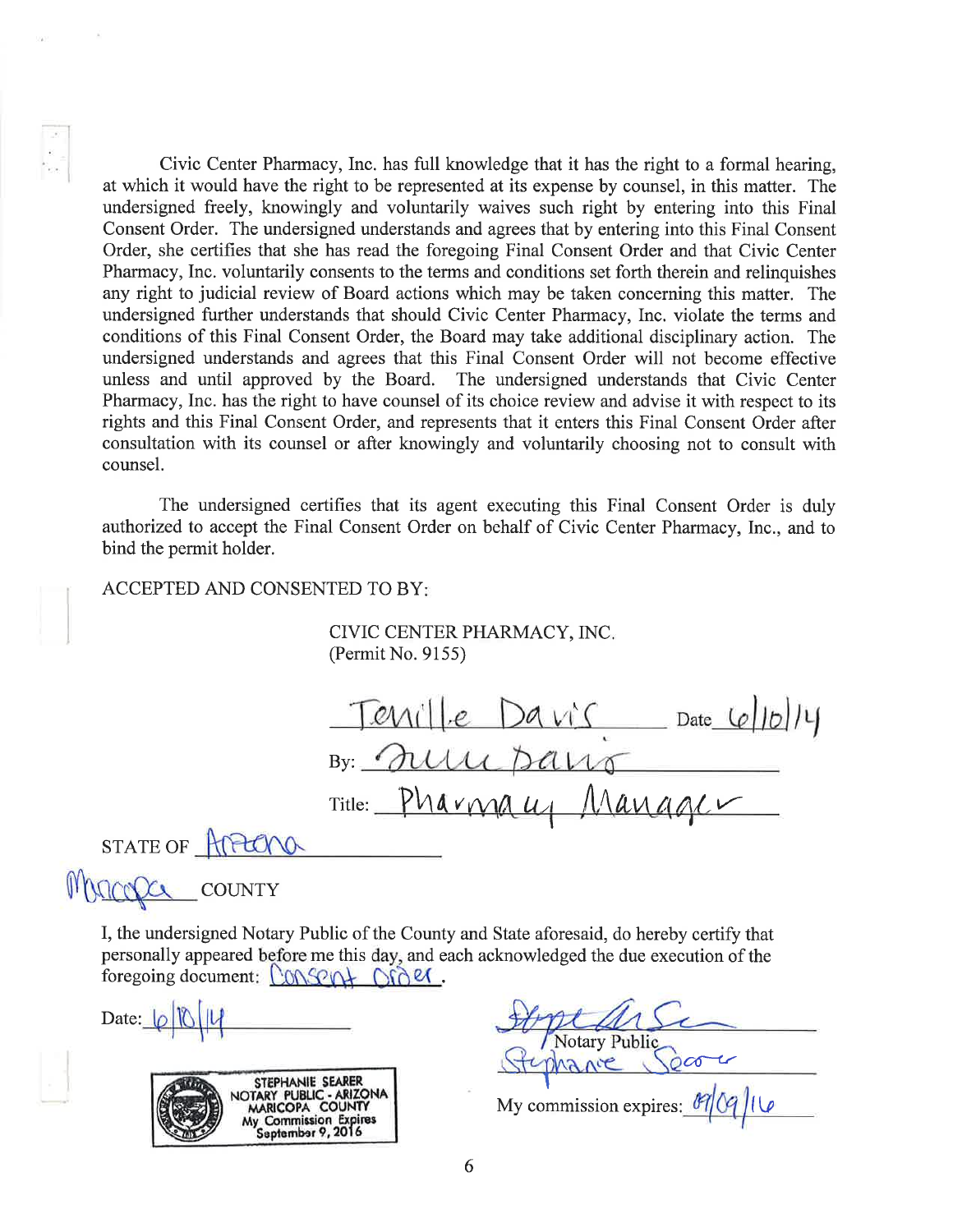Civic Center Pharmacy, Inc. has full knowledge that it has the right to a formal hearing, at which it would have the right to be represented at its expense by counsel, in this matter. The undersigned freely, knowingly and voluntarily waives such right by entering into this Final Consent Order. The undersigned understands and agrees that by entering into this Final Consent Order, she certifies that she has read the foregoing Final Consent Order and that Civic Center Pharmacy, Inc. voluntarily consents to the terms and conditions set forth therein and relinquishes any right to judicial review of Board actions which may be taken concerning this matter. The undersigned further understands that should Civic Center Pharmacy, Inc. violate the terms and conditions of this Final Consent Order, the Board may take additional disciplinary action. The undersigned understands and agrees that this Final Consent Order will not become effective unless and until approved by the Board. The undersigned understands that Civic Center Pharmacy, Inc. has the right to have counsel of its choice review and advise it with respect to its rights and this Final Consent Order, and represents that it enters this Final Consent Order after consultation with its counsel or after knowingly and voluntarily choosing not to consult with counsel.

The undersigned certifies that its agent executing this Final Consent Order is duly authorized to accept the Final Consent Order on behalf of Civic Center Pharmacy, Inc., and to bind the permit holder.

### ACCEPTED AND CONSENTED TO BY

CIVIC CENTER PHARMACY, INC (Permit No. 9155)

 $Tenil|e$   $DaviS$   $Date [b]14$ By: Trun pano  $T{\text{title:}}$  Pharmau, Manager I STATE OF HIPLONO

MARCOLL COUNTY

I, the undersigned Notary Public of the County and State aforesaid, do hereby certify that personally appeared before me this day, and each acknowledged the due execution of the foregoing document:  $\Omega$   $\Omega$ 

Date:  $|0|$ 



otary T'  $\infty$ 

My commission expires:  $\frac{\theta}{Q}$